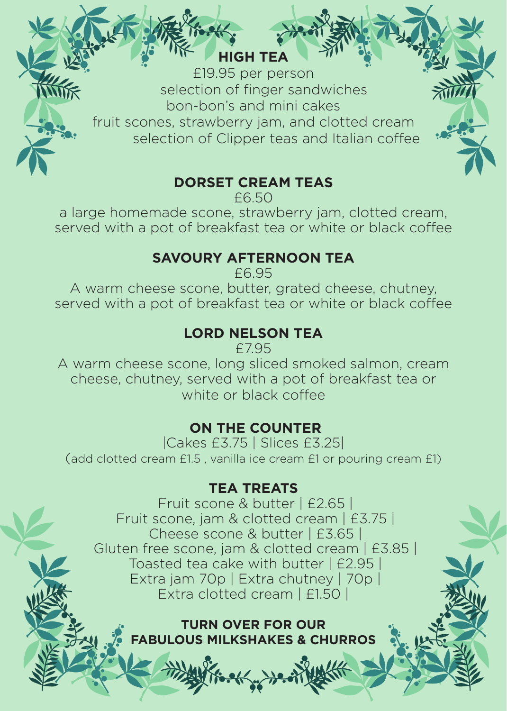#### **HIGH TEA**

£19.95 per person selection of finger sandwiches bon-bon's and mini cakes fruit scones, strawberry jam, and clotted cream selection of Clipper teas and Italian coffee

#### **DORSET CREAM TEAS**

£6.50

a large homemade scone, strawberry jam, clotted cream, served with a pot of breakfast tea or white or black coffee

#### **SAVOURY AFTERNOON TEA**

£6.95

A warm cheese scone, butter, grated cheese, chutney, served with a pot of breakfast tea or white or black coffee

## **LORD NELSON TEA**

£7.95

A warm cheese scone, long sliced smoked salmon, cream cheese, chutney, served with a pot of breakfast tea or white or black coffee

### **ON THE COUNTER**

|Cakes £3.75 | Slices £3.25| (add clotted cream £1.5 , vanilla ice cream £1 or pouring cream £1)

#### **TEA TREATS**

 Fruit scone & butter | £2.65 | Fruit scone, jam & clotted cream | £3.75 | Cheese scone & butter | £3.65 | Gluten free scone, jam & clotted cream | £3.85 | Toasted tea cake with butter | £2.95 | Extra jam 70p | Extra chutney | 70p | Extra clotted cream | £1.50

#### **TURN OVER FOR OUR FABULOUS MILKSHAKES & CHURROS**